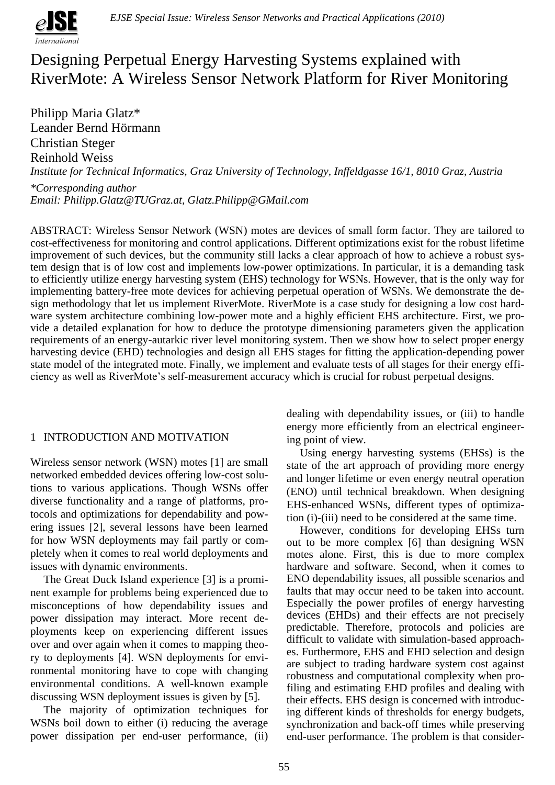

# Designing Perpetual Energy Harvesting Systems explained with RiverMote: A Wireless Sensor Network Platform for River Monitoring

Philipp Maria Glatz\* Leander Bernd Hörmann Christian Steger Reinhold Weiss *Institute for Technical Informatics, Graz University of Technology, Inffeldgasse 16/1, 8010 Graz, Austria \*Corresponding author*

*Email: Philipp.Glatz@TUGraz.at, Glatz.Philipp@GMail.com*

ABSTRACT: Wireless Sensor Network (WSN) motes are devices of small form factor. They are tailored to cost-effectiveness for monitoring and control applications. Different optimizations exist for the robust lifetime improvement of such devices, but the community still lacks a clear approach of how to achieve a robust system design that is of low cost and implements low-power optimizations. In particular, it is a demanding task to efficiently utilize energy harvesting system (EHS) technology for WSNs. However, that is the only way for implementing battery-free mote devices for achieving perpetual operation of WSNs. We demonstrate the design methodology that let us implement RiverMote. RiverMote is a case study for designing a low cost hardware system architecture combining low-power mote and a highly efficient EHS architecture. First, we provide a detailed explanation for how to deduce the prototype dimensioning parameters given the application requirements of an energy-autarkic river level monitoring system. Then we show how to select proper energy harvesting device (EHD) technologies and design all EHS stages for fitting the application-depending power state model of the integrated mote. Finally, we implement and evaluate tests of all stages for their energy efficiency as well as RiverMote's self-measurement accuracy which is crucial for robust perpetual designs.

# 1 INTRODUCTION AND MOTIVATION

Wireless sensor network (WSN) motes [1] are small networked embedded devices offering low-cost solutions to various applications. Though WSNs offer diverse functionality and a range of platforms, protocols and optimizations for dependability and powering issues [2], several lessons have been learned for how WSN deployments may fail partly or completely when it comes to real world deployments and issues with dynamic environments.

The Great Duck Island experience [3] is a prominent example for problems being experienced due to misconceptions of how dependability issues and power dissipation may interact. More recent deployments keep on experiencing different issues over and over again when it comes to mapping theory to deployments [4]. WSN deployments for environmental monitoring have to cope with changing environmental conditions. A well-known example discussing WSN deployment issues is given by [5].

The majority of optimization techniques for WSNs boil down to either (i) reducing the average power dissipation per end-user performance, (ii)

dealing with dependability issues, or (iii) to handle energy more efficiently from an electrical engineering point of view.

Using energy harvesting systems (EHSs) is the state of the art approach of providing more energy and longer lifetime or even energy neutral operation (ENO) until technical breakdown. When designing EHS-enhanced WSNs, different types of optimization (i)-(iii) need to be considered at the same time.

However, conditions for developing EHSs turn out to be more complex [6] than designing WSN motes alone. First, this is due to more complex hardware and software. Second, when it comes to ENO dependability issues, all possible scenarios and faults that may occur need to be taken into account. Especially the power profiles of energy harvesting devices (EHDs) and their effects are not precisely predictable. Therefore, protocols and policies are difficult to validate with simulation-based approaches. Furthermore, EHS and EHD selection and design are subject to trading hardware system cost against robustness and computational complexity when profiling and estimating EHD profiles and dealing with their effects. EHS design is concerned with introducing different kinds of thresholds for energy budgets, synchronization and back-off times while preserving end-user performance. The problem is that consider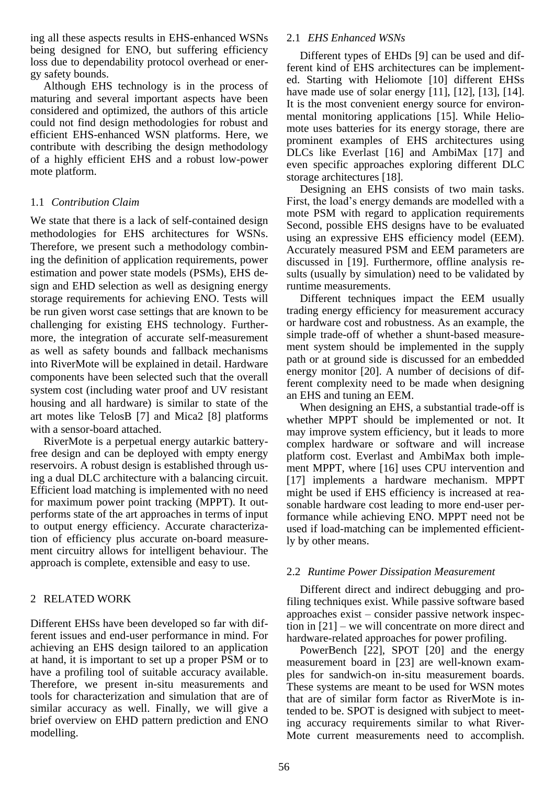ing all these aspects results in EHS-enhanced WSNs being designed for ENO, but suffering efficiency loss due to dependability protocol overhead or energy safety bounds.

Although EHS technology is in the process of maturing and several important aspects have been considered and optimized, the authors of this article could not find design methodologies for robust and efficient EHS-enhanced WSN platforms. Here, we contribute with describing the design methodology of a highly efficient EHS and a robust low-power mote platform.

# 1.1 *Contribution Claim*

We state that there is a lack of self-contained design methodologies for EHS architectures for WSNs. Therefore, we present such a methodology combining the definition of application requirements, power estimation and power state models (PSMs), EHS design and EHD selection as well as designing energy storage requirements for achieving ENO. Tests will be run given worst case settings that are known to be challenging for existing EHS technology. Furthermore, the integration of accurate self-measurement as well as safety bounds and fallback mechanisms into RiverMote will be explained in detail. Hardware components have been selected such that the overall system cost (including water proof and UV resistant housing and all hardware) is similar to state of the art motes like TelosB [7] and Mica2 [8] platforms with a sensor-board attached.

RiverMote is a perpetual energy autarkic batteryfree design and can be deployed with empty energy reservoirs. A robust design is established through using a dual DLC architecture with a balancing circuit. Efficient load matching is implemented with no need for maximum power point tracking (MPPT). It outperforms state of the art approaches in terms of input to output energy efficiency. Accurate characterization of efficiency plus accurate on-board measurement circuitry allows for intelligent behaviour. The approach is complete, extensible and easy to use.

# 2 RELATED WORK

Different EHSs have been developed so far with different issues and end-user performance in mind. For achieving an EHS design tailored to an application at hand, it is important to set up a proper PSM or to have a profiling tool of suitable accuracy available. Therefore, we present in-situ measurements and tools for characterization and simulation that are of similar accuracy as well. Finally, we will give a brief overview on EHD pattern prediction and ENO modelling.

### 2.1 *EHS Enhanced WSNs*

Different types of EHDs [9] can be used and different kind of EHS architectures can be implemented. Starting with Heliomote [10] different EHSs have made use of solar energy [11], [12], [13], [14]. It is the most convenient energy source for environmental monitoring applications [15]. While Heliomote uses batteries for its energy storage, there are prominent examples of EHS architectures using DLCs like Everlast [16] and AmbiMax [17] and even specific approaches exploring different DLC storage architectures [18].

Designing an EHS consists of two main tasks. First, the load's energy demands are modelled with a mote PSM with regard to application requirements Second, possible EHS designs have to be evaluated using an expressive EHS efficiency model (EEM). Accurately measured PSM and EEM parameters are discussed in [19]. Furthermore, offline analysis results (usually by simulation) need to be validated by runtime measurements.

Different techniques impact the EEM usually trading energy efficiency for measurement accuracy or hardware cost and robustness. As an example, the simple trade-off of whether a shunt-based measurement system should be implemented in the supply path or at ground side is discussed for an embedded energy monitor [20]. A number of decisions of different complexity need to be made when designing an EHS and tuning an EEM.

When designing an EHS, a substantial trade-off is whether MPPT should be implemented or not. It may improve system efficiency, but it leads to more complex hardware or software and will increase platform cost. Everlast and AmbiMax both implement MPPT, where [16] uses CPU intervention and [17] implements a hardware mechanism. MPPT might be used if EHS efficiency is increased at reasonable hardware cost leading to more end-user performance while achieving ENO. MPPT need not be used if load-matching can be implemented efficiently by other means.

# 2.2 *Runtime Power Dissipation Measurement*

Different direct and indirect debugging and profiling techniques exist. While passive software based approaches exist – consider passive network inspection in [21] – we will concentrate on more direct and hardware-related approaches for power profiling.

PowerBench [22], SPOT [20] and the energy measurement board in [23] are well-known examples for sandwich-on in-situ measurement boards. These systems are meant to be used for WSN motes that are of similar form factor as RiverMote is intended to be. SPOT is designed with subject to meeting accuracy requirements similar to what River-Mote current measurements need to accomplish.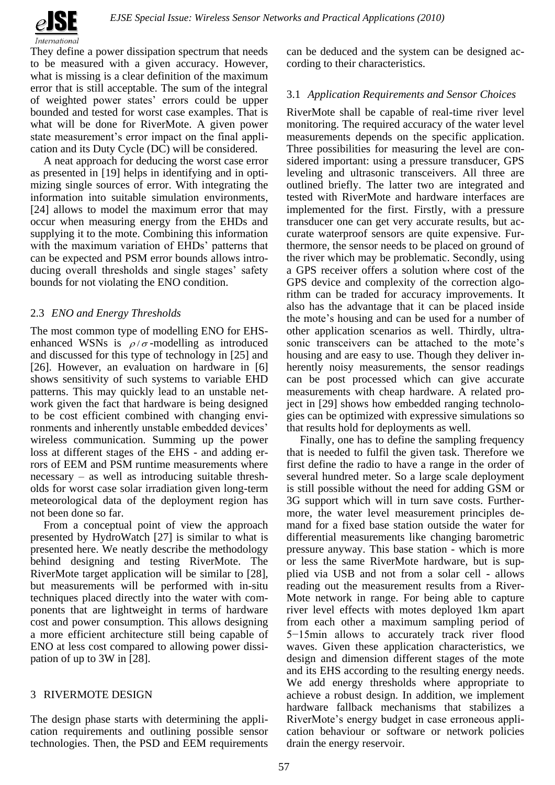

They define a power dissipation spectrum that needs to be measured with a given accuracy. However, what is missing is a clear definition of the maximum error that is still acceptable. The sum of the integral of weighted power states' errors could be upper bounded and tested for worst case examples. That is what will be done for RiverMote. A given power state measurement's error impact on the final application and its Duty Cycle (DC) will be considered.

A neat approach for deducing the worst case error as presented in [19] helps in identifying and in optimizing single sources of error. With integrating the information into suitable simulation environments, [24] allows to model the maximum error that may occur when measuring energy from the EHDs and supplying it to the mote. Combining this information with the maximum variation of EHDs' patterns that can be expected and PSM error bounds allows introducing overall thresholds and single stages' safety bounds for not violating the ENO condition.

# 2.3 *ENO and Energy Thresholds*

The most common type of modelling ENO for EHSenhanced WSNs is  $\rho/\sigma$ -modelling as introduced and discussed for this type of technology in [25] and [26]. However, an evaluation on hardware in [6] shows sensitivity of such systems to variable EHD patterns. This may quickly lead to an unstable network given the fact that hardware is being designed to be cost efficient combined with changing environments and inherently unstable embedded devices' wireless communication. Summing up the power loss at different stages of the EHS - and adding errors of EEM and PSM runtime measurements where necessary – as well as introducing suitable thresholds for worst case solar irradiation given long-term meteorological data of the deployment region has not been done so far.

From a conceptual point of view the approach presented by HydroWatch [27] is similar to what is presented here. We neatly describe the methodology behind designing and testing RiverMote. The RiverMote target application will be similar to [28], but measurements will be performed with in-situ techniques placed directly into the water with components that are lightweight in terms of hardware cost and power consumption. This allows designing a more efficient architecture still being capable of ENO at less cost compared to allowing power dissipation of up to 3W in [28].

# 3 RIVERMOTE DESIGN

The design phase starts with determining the application requirements and outlining possible sensor technologies. Then, the PSD and EEM requirements can be deduced and the system can be designed according to their characteristics.

# 3.1 *Application Requirements and Sensor Choices*

RiverMote shall be capable of real-time river level monitoring. The required accuracy of the water level measurements depends on the specific application. Three possibilities for measuring the level are considered important: using a pressure transducer, GPS leveling and ultrasonic transceivers. All three are outlined briefly. The latter two are integrated and tested with RiverMote and hardware interfaces are implemented for the first. Firstly, with a pressure transducer one can get very accurate results, but accurate waterproof sensors are quite expensive. Furthermore, the sensor needs to be placed on ground of the river which may be problematic. Secondly, using a GPS receiver offers a solution where cost of the GPS device and complexity of the correction algorithm can be traded for accuracy improvements. It also has the advantage that it can be placed inside the mote's housing and can be used for a number of other application scenarios as well. Thirdly, ultrasonic transceivers can be attached to the mote's housing and are easy to use. Though they deliver inherently noisy measurements, the sensor readings can be post processed which can give accurate measurements with cheap hardware. A related project in [29] shows how embedded ranging technologies can be optimized with expressive simulations so that results hold for deployments as well.

Finally, one has to define the sampling frequency that is needed to fulfil the given task. Therefore we first define the radio to have a range in the order of several hundred meter. So a large scale deployment is still possible without the need for adding GSM or 3G support which will in turn save costs. Furthermore, the water level measurement principles demand for a fixed base station outside the water for differential measurements like changing barometric pressure anyway. This base station - which is more or less the same RiverMote hardware, but is supplied via USB and not from a solar cell - allows reading out the measurement results from a River-Mote network in range. For being able to capture river level effects with motes deployed 1km apart from each other a maximum sampling period of 5−15min allows to accurately track river flood waves. Given these application characteristics, we design and dimension different stages of the mote and its EHS according to the resulting energy needs. We add energy thresholds where appropriate to achieve a robust design. In addition, we implement hardware fallback mechanisms that stabilizes a RiverMote's energy budget in case erroneous application behaviour or software or network policies drain the energy reservoir.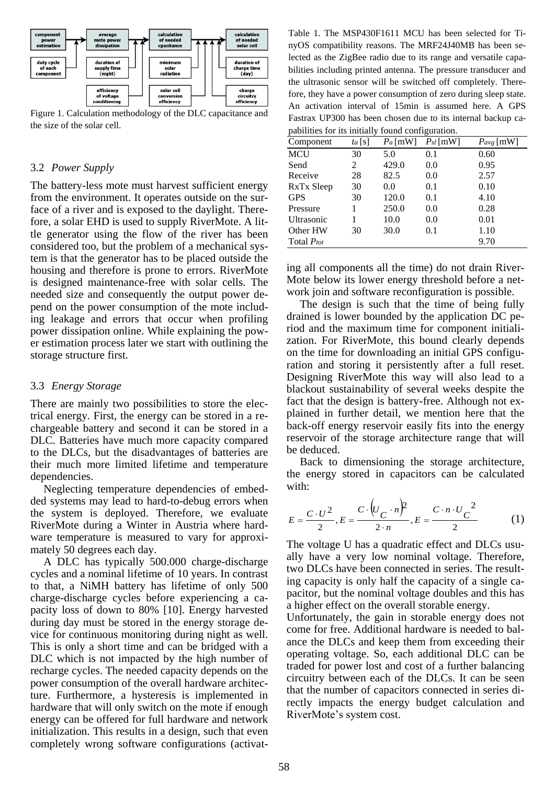

Figure 1. Calculation methodology of the DLC capacitance and the size of the solar cell.

#### 3.2 *Power Supply*

The battery-less mote must harvest sufficient energy from the environment. It operates outside on the surface of a river and is exposed to the daylight. Therefore, a solar EHD is used to supply RiverMote. A little generator using the flow of the river has been considered too, but the problem of a mechanical system is that the generator has to be placed outside the housing and therefore is prone to errors. RiverMote is designed maintenance-free with solar cells. The needed size and consequently the output power depend on the power consumption of the mote including leakage and errors that occur when profiling power dissipation online. While explaining the power estimation process later we start with outlining the storage structure first.

#### 3.3 *Energy Storage*

There are mainly two possibilities to store the electrical energy. First, the energy can be stored in a rechargeable battery and second it can be stored in a DLC. Batteries have much more capacity compared to the DLCs, but the disadvantages of batteries are their much more limited lifetime and temperature dependencies.

Neglecting temperature dependencies of embedded systems may lead to hard-to-debug errors when the system is deployed. Therefore, we evaluate RiverMote during a Winter in Austria where hardware temperature is measured to vary for approximately 50 degrees each day.

A DLC has typically 500.000 charge-discharge cycles and a nominal lifetime of 10 years. In contrast to that, a NiMH battery has lifetime of only 500 charge-discharge cycles before experiencing a capacity loss of down to 80% [10]. Energy harvested during day must be stored in the energy storage device for continuous monitoring during night as well. This is only a short time and can be bridged with a DLC which is not impacted by the high number of recharge cycles. The needed capacity depends on the power consumption of the overall hardware architecture. Furthermore, a hysteresis is implemented in hardware that will only switch on the mote if enough energy can be offered for full hardware and network initialization. This results in a design, such that even completely wrong software configurations (activat-

Table 1. The MSP430F1611 MCU has been selected for TinyOS compatibility reasons. The MRF24J40MB has been selected as the ZigBee radio due to its range and versatile capabilities including printed antenna. The pressure transducer and the ultrasonic sensor will be switched off completely. Therefore, they have a power consumption of zero during sleep state. An activation interval of 15min is assumed here. A GPS Fastrax UP300 has been chosen due to its internal backup capabilities for its initially found configuration.

| pasmics for no mining round comiguration. |          |           |               |                |  |
|-------------------------------------------|----------|-----------|---------------|----------------|--|
| Component                                 | $ta$ [S] | $Pa$ [mW] | $P_{sl}$ [mW] | $P_{avg}$ [mW] |  |
| <b>MCU</b>                                | 30       | 5.0       | 0.1           | 0.60           |  |
| Send                                      | 2        | 429.0     | 0.0           | 0.95           |  |
| Receive                                   | 28       | 82.5      | 0.0           | 2.57           |  |
| RxTx Sleep                                | 30       | 0.0       | 0.1           | 0.10           |  |
| <b>GPS</b>                                | 30       | 120.0     | 0.1           | 4.10           |  |
| Pressure                                  |          | 250.0     | 0.0           | 0.28           |  |
| Ultrasonic                                |          | 10.0      | 0.0           | 0.01           |  |
| Other HW                                  | 30       | 30.0      | 0.1           | 1.10           |  |
| Total <i>Ptot</i>                         |          |           |               | 9.70           |  |

ing all components all the time) do not drain River-Mote below its lower energy threshold before a network join and software reconfiguration is possible.

The design is such that the time of being fully drained is lower bounded by the application DC period and the maximum time for component initialization. For RiverMote, this bound clearly depends on the time for downloading an initial GPS configuration and storing it persistently after a full reset. Designing RiverMote this way will also lead to a blackout sustainability of several weeks despite the fact that the design is battery-free. Although not explained in further detail, we mention here that the back-off energy reservoir easily fits into the energy reservoir of the storage architecture range that will be deduced.

Back to dimensioning the storage architecture, the energy stored in capacitors can be calculated with:

$$
E = \frac{C \cdot U^2}{2}, E = \frac{C \cdot (U_C \cdot n)^2}{2 \cdot n}, E = \frac{C \cdot n \cdot U_C^2}{2} \tag{1}
$$

The voltage U has a quadratic effect and DLCs usually have a very low nominal voltage. Therefore, two DLCs have been connected in series. The resulting capacity is only half the capacity of a single capacitor, but the nominal voltage doubles and this has a higher effect on the overall storable energy.

Unfortunately, the gain in storable energy does not come for free. Additional hardware is needed to balance the DLCs and keep them from exceeding their operating voltage. So, each additional DLC can be traded for power lost and cost of a further balancing circuitry between each of the DLCs. It can be seen that the number of capacitors connected in series directly impacts the energy budget calculation and RiverMote's system cost.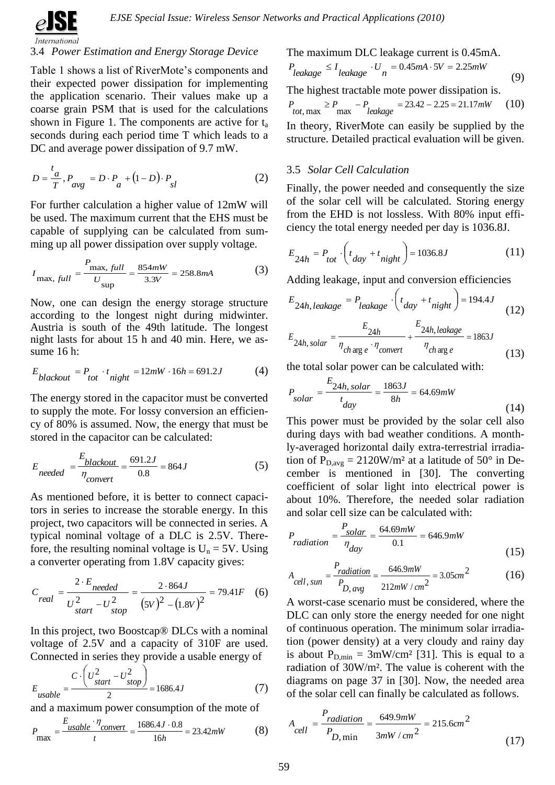

# 3.4 *Power Estimation and Energy Storage Device*

Table 1 shows a list of RiverMote's components and their expected power dissipation for implementing the application scenario. Their values make up a coarse grain PSM that is used for the calculations shown in Figure 1. The components are active for  $t_a$ seconds during each period time T which leads to a DC and average power dissipation of 9.7 mW.

$$
D = \frac{t_a}{T}, P_{avg} = D \cdot P_a + (1 - D) \cdot P_{sl}
$$
 (2)

For further calculation a higher value of 12mW will be used. The maximum current that the EHS must be capable of supplying can be calculated from summing up all power dissipation over supply voltage.

$$
I_{\text{max, full}} = \frac{P_{\text{max, full}}}{U_{\text{sup}}} = \frac{854 \, mW}{3.3V} = 258.8 \, mA \tag{3}
$$

Now, one can design the energy storage structure according to the longest night during midwinter. Austria is south of the 49th latitude. The longest night lasts for about 15 h and 40 min. Here, we assume 16 h:

$$
E_{blackout} = P_{tot} \cdot t_{night} = 12mW \cdot 16h = 691.2J
$$
 (4)

The energy stored in the capacitor must be converted to supply the mote. For lossy conversion an efficiency of 80% is assumed. Now, the energy that must be stored in the capacitor can be calculated:

$$
E_{needed} = \frac{E_{blackout}}{\eta_{convert}} = \frac{691.2J}{0.8} = 864J
$$
 (5)

As mentioned before, it is better to connect capacitors in series to increase the storable energy. In this project, two capacitors will be connected in series. A typical nominal voltage of a DLC is 2.5V. Therefore, the resulting nominal voltage is  $U_n = 5V$ . Using a converter operating from 1.8V capacity gives:

$$
C_{real} = \frac{2 \cdot E_{needed}}{U_{start}^2 - U_{stop}^2} = \frac{2 \cdot 864J}{(5V)^2 - (1.8V)^2} = 79.41F
$$
 (6)

In this project, two Boostcap® DLCs with a nominal voltage of 2.5V and a capacity of 310F are used. Connected in series they provide a usable energy of

$$
E_{usable} = \frac{C \cdot \left(U_{start}^2 - U_{stop}^2\right)}{2} = 1686.4J\tag{7}
$$

and a maximum power consumption of the mote of

$$
P_{\text{max}} = \frac{E_{\text{usable}} \cdot \eta_{\text{convert}}}{t} = \frac{1686.4J \cdot 0.8}{16h} = 23.42 \, mW \tag{8}
$$

The maximum DLC leakage current is 0.45mA.

$$
P_{leakage} \le I_{leakage} \cdot U_n = 0.45mA \cdot 5V = 2.25mW
$$
\n(9)

The highest tractable mote power dissipation is.

$$
P_{tot, \max} \ge P_{\max} - P_{leakage} = 23.42 - 2.25 = 21.17 \, mW \tag{10}
$$

In theory, RiverMote can easily be supplied by the structure. Detailed practical evaluation will be given.

### 3.5 *Solar Cell Calculation*

Finally, the power needed and consequently the size of the solar cell will be calculated. Storing energy from the EHD is not lossless. With 80% input efficiency the total energy needed per day is 1036.8J.

$$
E_{24h} = P_{tot} \cdot \left( t_{day} + t_{night} \right) = 1036.8J \tag{11}
$$

Adding leakage, input and conversion efficiencies

$$
E_{24h,\text{leakage}} = P_{\text{leakage}} \cdot \left( t_{\text{day}} + t_{\text{night}} \right) = 194.4J \tag{12}
$$

$$
E_{24h, solar} = \frac{E_{24h}}{\eta_{ch\arg e} \cdot \eta_{convert}} + \frac{E_{24h, leakage}}{\eta_{ch\arg e}} = 1863J
$$
\n(13)

the total solar power can be calculated with:

$$
P_{solar} = \frac{E_{24h, solar}}{t_{day}} = \frac{1863J}{8h} = 64.69mW
$$
\n(14)

This power must be provided by the solar cell also during days with bad weather conditions. A monthly-averaged horizontal daily extra-terrestrial irradiation of  $P_{D,avg} = 2120W/m^2$  at a latitude of 50° in December is mentioned in [30]. The converting coefficient of solar light into electrical power is about 10%. Therefore, the needed solar radiation and solar cell size can be calculated with:

$$
P_{radiation} = \frac{P_{solar}}{\eta_{day}} = \frac{64.69mW}{0.1} = 646.9mW
$$
\n(15)

$$
A_{cell, sum} = \frac{P_{radiation}}{P_{D, avg}} = \frac{646.9mW}{212mW/cm^2} = 3.05cm^2
$$
 (16)

A worst-case scenario must be considered, where the DLC can only store the energy needed for one night of continuous operation. The minimum solar irradiation (power density) at a very cloudy and rainy day is about  $P_{D,min} = 3mW/cm^2$  [31]. This is equal to a radiation of 30W/m². The value is coherent with the diagrams on page 37 in [30]. Now, the needed area of the solar cell can finally be calculated as follows.

$$
A_{cell} = \frac{P_{radiation}}{P_{D,\text{min}}} = \frac{649.9 \, mW}{3 \, mW / \, cm^2} = 215.6 \, cm^2 \tag{17}
$$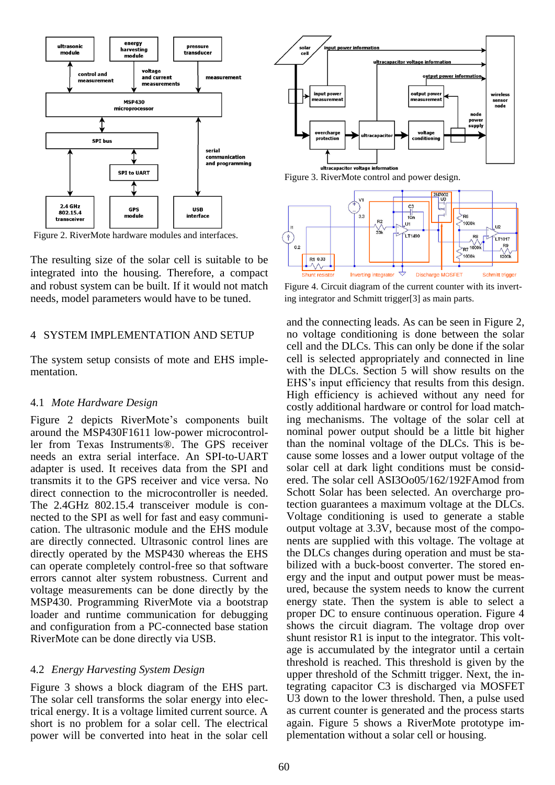

Figure 2. RiverMote hardware modules and interfaces.

The resulting size of the solar cell is suitable to be integrated into the housing. Therefore, a compact and robust system can be built. If it would not match needs, model parameters would have to be tuned.

### 4 SYSTEM IMPLEMENTATION AND SETUP

The system setup consists of mote and EHS implementation.

#### 4.1 *Mote Hardware Design*

Figure 2 depicts RiverMote's components built around the MSP430F1611 low-power microcontroller from Texas Instruments®. The GPS receiver needs an extra serial interface. An SPI-to-UART adapter is used. It receives data from the SPI and transmits it to the GPS receiver and vice versa. No direct connection to the microcontroller is needed. The 2.4GHz 802.15.4 transceiver module is connected to the SPI as well for fast and easy communication. The ultrasonic module and the EHS module are directly connected. Ultrasonic control lines are directly operated by the MSP430 whereas the EHS can operate completely control-free so that software errors cannot alter system robustness. Current and voltage measurements can be done directly by the MSP430. Programming RiverMote via a bootstrap loader and runtime communication for debugging and configuration from a PC-connected base station RiverMote can be done directly via USB.

#### 4.2 *Energy Harvesting System Design*

Figure 3 shows a block diagram of the EHS part. The solar cell transforms the solar energy into electrical energy. It is a voltage limited current source. A short is no problem for a solar cell. The electrical power will be converted into heat in the solar cell



Figure 3. RiverMote control and power design.



Figure 4. Circuit diagram of the current counter with its inverting integrator and Schmitt trigger[3] as main parts.

and the connecting leads. As can be seen in Figure 2, no voltage conditioning is done between the solar cell and the DLCs. This can only be done if the solar cell is selected appropriately and connected in line with the DLCs. Section 5 will show results on the EHS's input efficiency that results from this design. High efficiency is achieved without any need for costly additional hardware or control for load matching mechanisms. The voltage of the solar cell at nominal power output should be a little bit higher than the nominal voltage of the DLCs. This is because some losses and a lower output voltage of the solar cell at dark light conditions must be considered. The solar cell ASI3Oo05/162/192FAmod from Schott Solar has been selected. An overcharge protection guarantees a maximum voltage at the DLCs. Voltage conditioning is used to generate a stable output voltage at 3.3V, because most of the components are supplied with this voltage. The voltage at the DLCs changes during operation and must be stabilized with a buck-boost converter. The stored energy and the input and output power must be measured, because the system needs to know the current energy state. Then the system is able to select a proper DC to ensure continuous operation. Figure 4 shows the circuit diagram. The voltage drop over shunt resistor R1 is input to the integrator. This voltage is accumulated by the integrator until a certain threshold is reached. This threshold is given by the upper threshold of the Schmitt trigger. Next, the integrating capacitor C3 is discharged via MOSFET U3 down to the lower threshold. Then, a pulse used as current counter is generated and the process starts again. Figure 5 shows a RiverMote prototype implementation without a solar cell or housing.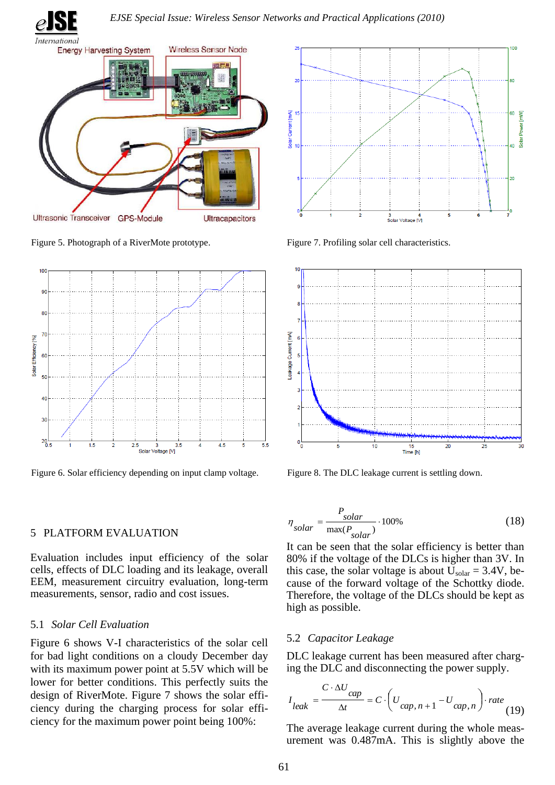



Figure 5. Photograph of a RiverMote prototype.



Figure 6. Solar efficiency depending on input clamp voltage.

# 5 PLATFORM EVALUATION

Evaluation includes input efficiency of the solar cells, effects of DLC loading and its leakage, overall EEM, measurement circuitry evaluation, long-term measurements, sensor, radio and cost issues.

### 5.1 *Solar Cell Evaluation*

Figure 6 shows V-I characteristics of the solar cell for bad light conditions on a cloudy December day with its maximum power point at 5.5V which will be lower for better conditions. This perfectly suits the design of RiverMote. Figure 7 shows the solar efficiency during the charging process for solar efficiency for the maximum power point being 100%:



Figure 7. Profiling solar cell characteristics.



Figure 8. The DLC leakage current is settling down.

$$
\eta_{solar} = \frac{P_{solar}}{\max(P_{solar})} \cdot 100\%
$$
\n(18)

It can be seen that the solar efficiency is better than 80% if the voltage of the DLCs is higher than 3V. In this case, the solar voltage is about  $U_{\text{solar}} = 3.4V$ , because of the forward voltage of the Schottky diode. Therefore, the voltage of the DLCs should be kept as high as possible.

# 5.2 *Capacitor Leakage*

DLC leakage current has been measured after charging the DLC and disconnecting the power supply.

$$
I_{leak} = \frac{C \cdot \Delta U_{cap}}{\Delta t} = C \cdot \left( U_{cap, n+1} - U_{cap, n} \right) \cdot rate \tag{19}
$$

The average leakage current during the whole measurement was 0.487mA. This is slightly above the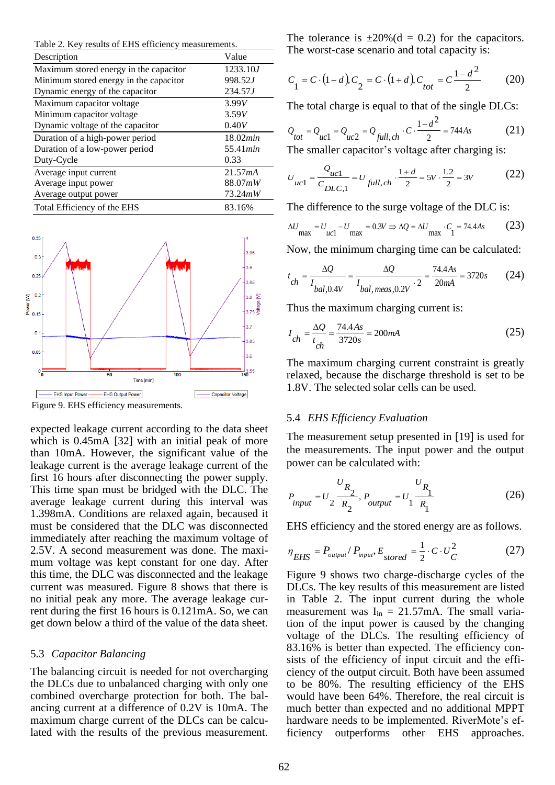Table 2. Key results of EHS efficiency measurements.

| Description                            | Value            |
|----------------------------------------|------------------|
| Maximum stored energy in the capacitor | 1233.10J         |
| Minimum stored energy in the capacitor | 998.52J          |
| Dynamic energy of the capacitor        | 234.57J          |
| Maximum capacitor voltage              | 3.99V            |
| Minimum capacitor voltage              | 3.59V            |
| Dynamic voltage of the capacitor       | 0.40V            |
| Duration of a high-power period        | 18.02min         |
| Duration of a low-power period         | 55.41 <i>min</i> |
| Duty-Cycle                             | 0.33             |
| Average input current                  | 21.57mA          |
| Average input power                    | 88.07mW          |
| Average output power                   | 73.24mW          |
| Total Efficiency of the EHS            | 83.16%           |



Figure 9. EHS efficiency measurements.

expected leakage current according to the data sheet which is 0.45mA [32] with an initial peak of more than 10mA. However, the significant value of the leakage current is the average leakage current of the first 16 hours after disconnecting the power supply. This time span must be bridged with the DLC. The average leakage current during this interval was 1.398mA. Conditions are relaxed again, becaused it must be considered that the DLC was disconnected immediately after reaching the maximum voltage of 2.5V. A second measurement was done. The maximum voltage was kept constant for one day. After this time, the DLC was disconnected and the leakage current was measured. Figure 8 shows that there is no initial peak any more. The average leakage current during the first 16 hours is 0.121mA. So, we can get down below a third of the value of the data sheet.

#### 5.3 *Capacitor Balancing*

The balancing circuit is needed for not overcharging the DLCs due to unbalanced charging with only one combined overcharge protection for both. The balancing current at a difference of 0.2V is 10mA. The maximum charge current of the DLCs can be calculated with the results of the previous measurement. The tolerance is  $\pm 20\%$  (d = 0.2) for the capacitors. The worst-case scenario and total capacity is:

$$
C_1 = C \cdot (1 - d), C_2 = C \cdot (1 + d), C_{tot} = C \frac{1 - d^2}{2}
$$
 (20)

The total charge is equal to that of the single DLCs:

$$
Q_{tot} = Q_{uc1} = Q_{uc2} = Q_{full, ch} \cdot C \cdot \frac{1 - d^2}{2} = 744As
$$
 (21)

The smaller capacitor's voltage after charging is:

$$
U_{uc1} = \frac{Q_{uc1}}{C_{DLC,1}} = U_{full, ch} \cdot \frac{1+d}{2} = 5V \cdot \frac{1.2}{2} = 3V
$$
 (22)

The difference to the surge voltage of the DLC is:

$$
\Delta U_{\text{max}} = U_{\text{uc1}} - U_{\text{max}} = 0.3V \Rightarrow \Delta Q = \Delta U_{\text{max}} \cdot C_1 = 74.4As
$$
 (23)

Now, the minimum charging time can be calculated:

$$
t_{ch} = \frac{\Delta Q}{I_{bal, 0.4V}} = \frac{\Delta Q}{I_{bal, meas, 0.2V} \cdot 2} = \frac{74.4As}{20mA} = 3720s
$$
 (24)

Thus the maximum charging current is:

$$
I_{ch} = \frac{\Delta Q}{t_{ch}} = \frac{74.4As}{3720s} = 200mA
$$
 (25)

The maximum charging current constraint is greatly relaxed, because the discharge threshold is set to be 1.8V. The selected solar cells can be used.

#### 5.4 *EHS Efficiency Evaluation*

The measurement setup presented in [19] is used for the measurements. The input power and the output power can be calculated with:

$$
P_{input} = U_2 \frac{U_{R_2}}{R_2}, P_{output} = U_1 \frac{U_{R_1}}{R_1}
$$
 (26)

EHS efficiency and the stored energy are as follows.

$$
\eta_{EHS} = P_{\text{output}} / P_{\text{input}}, E_{\text{stored}} = \frac{1}{2} \cdot C \cdot U_C^2 \tag{27}
$$

Figure 9 shows two charge-discharge cycles of the DLCs. The key results of this measurement are listed in Table 2. The input current during the whole measurement was  $I_{in} = 21.57 \text{mA}$ . The small variation of the input power is caused by the changing voltage of the DLCs. The resulting efficiency of 83.16% is better than expected. The efficiency consists of the efficiency of input circuit and the efficiency of the output circuit. Both have been assumed to be 80%. The resulting efficiency of the EHS would have been 64%. Therefore, the real circuit is much better than expected and no additional MPPT hardware needs to be implemented. RiverMote's efficiency outperforms other EHS approaches.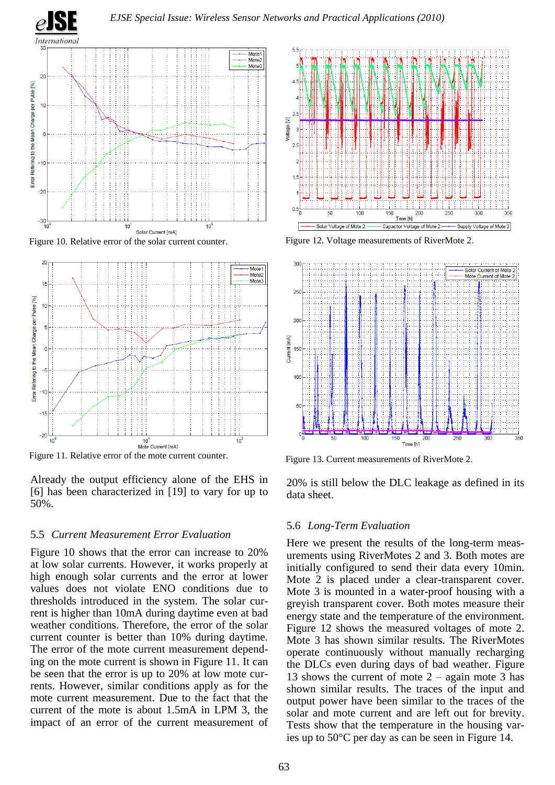





Figure 11. Relative error of the mote current counter.<br>Figure 13. Current measurements of RiverMote 2.

Already the output efficiency alone of the EHS in [6] has been characterized in [19] to vary for up to 50%.

#### 5.5 *Current Measurement Error Evaluation*

Figure 10 shows that the error can increase to 20% at low solar currents. However, it works properly at high enough solar currents and the error at lower values does not violate ENO conditions due to thresholds introduced in the system. The solar current is higher than 10mA during daytime even at bad weather conditions. Therefore, the error of the solar current counter is better than 10% during daytime. The error of the mote current measurement depending on the mote current is shown in Figure 11. It can be seen that the error is up to 20% at low mote currents. However, similar conditions apply as for the mote current measurement. Due to the fact that the current of the mote is about 1.5mA in LPM 3, the impact of an error of the current measurement of





20% is still below the DLC leakage as defined in its data sheet.

#### 5.6 *Long-Term Evaluation*

Here we present the results of the long-term measurements using RiverMotes 2 and 3. Both motes are initially configured to send their data every 10min. Mote 2 is placed under a clear-transparent cover. Mote 3 is mounted in a water-proof housing with a greyish transparent cover. Both motes measure their energy state and the temperature of the environment. Figure 12 shows the measured voltages of mote 2. Mote 3 has shown similar results. The RiverMotes operate continuously without manually recharging the DLCs even during days of bad weather. Figure 13 shows the current of mote  $2 -$  again mote 3 has shown similar results. The traces of the input and output power have been similar to the traces of the solar and mote current and are left out for brevity. Tests show that the temperature in the housing varies up to 50°C per day as can be seen in Figure 14.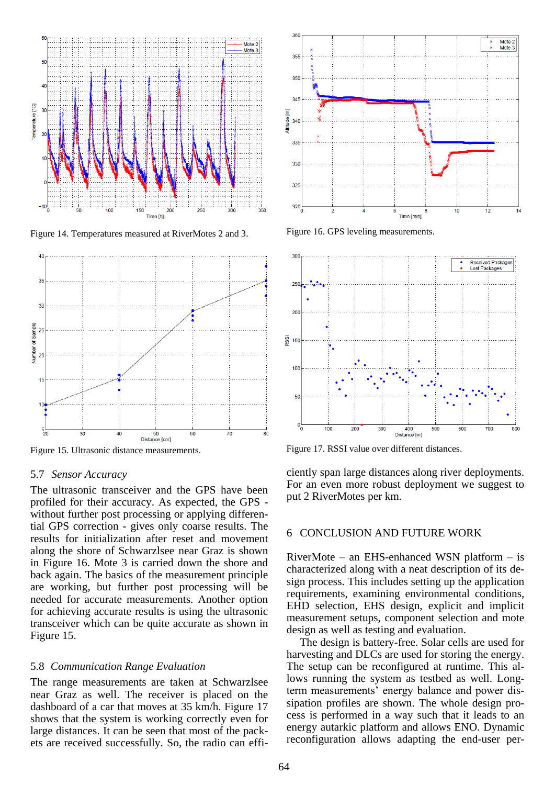

Figure 14. Temperatures measured at RiverMotes 2 and 3. Figure 16. GPS leveling measurements.



#### 5.7 *Sensor Accuracy*

The ultrasonic transceiver and the GPS have been profiled for their accuracy. As expected, the GPS without further post processing or applying differential GPS correction - gives only coarse results. The results for initialization after reset and movement along the shore of Schwarzlsee near Graz is shown in Figure 16. Mote 3 is carried down the shore and back again. The basics of the measurement principle are working, but further post processing will be needed for accurate measurements. Another option for achieving accurate results is using the ultrasonic transceiver which can be quite accurate as shown in Figure 15.

#### 5.8 *Communication Range Evaluation*

The range measurements are taken at Schwarzlsee near Graz as well. The receiver is placed on the dashboard of a car that moves at 35 km/h. Figure 17 shows that the system is working correctly even for large distances. It can be seen that most of the packets are received successfully. So, the radio can effi-





Figure 15. Ultrasonic distance measurements. Figure 17. RSSI value over different distances.

ciently span large distances along river deployments. For an even more robust deployment we suggest to put 2 RiverMotes per km.

#### 6 CONCLUSION AND FUTURE WORK

RiverMote – an EHS-enhanced WSN platform – is characterized along with a neat description of its design process. This includes setting up the application requirements, examining environmental conditions, EHD selection, EHS design, explicit and implicit measurement setups, component selection and mote design as well as testing and evaluation.

The design is battery-free. Solar cells are used for harvesting and DLCs are used for storing the energy. The setup can be reconfigured at runtime. This allows running the system as testbed as well. Longterm measurements' energy balance and power dissipation profiles are shown. The whole design process is performed in a way such that it leads to an energy autarkic platform and allows ENO. Dynamic reconfiguration allows adapting the end-user per-